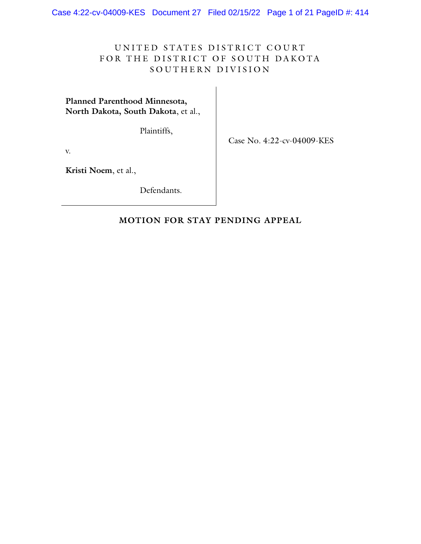Case 4:22-cv-04009-KES Document 27 Filed 02/15/22 Page 1 of 21 PageID #: 414

# UNITED STATES DISTRICT COURT FOR THE DISTRICT OF SOUTH DAKOTA SOUTHERN DIVISION

**Planned Parenthood Minnesota, North Dakota, South Dakota**, et al.,

Plaintiffs,

Case No. 4:22-cv-04009-KES

v.

**Kristi Noem**, et al.,

Defendants.

### **MOTION FOR STAY PENDING APPEAL**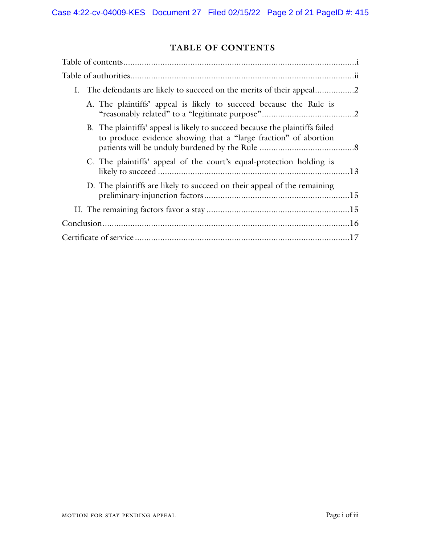# **TABLE OF CONTENTS**

| A. The plaintiffs' appeal is likely to succeed because the Rule is                                                                              |  |
|-------------------------------------------------------------------------------------------------------------------------------------------------|--|
| B. The plaintiffs' appeal is likely to succeed because the plaintiffs failed<br>to produce evidence showing that a "large fraction" of abortion |  |
| C. The plaintiffs' appeal of the court's equal-protection holding is                                                                            |  |
| D. The plaintiffs are likely to succeed on their appeal of the remaining                                                                        |  |
|                                                                                                                                                 |  |
|                                                                                                                                                 |  |
|                                                                                                                                                 |  |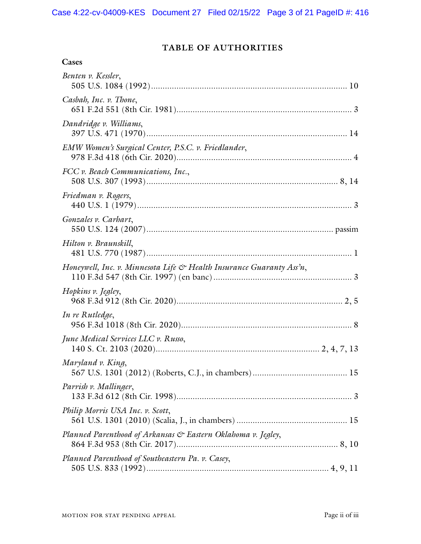# **TABLE OF AUTHORITIES**

| Benten v. Kessler,                                                                |
|-----------------------------------------------------------------------------------|
| Casbah, Inc. v. Thone,                                                            |
| Dandridge v. Williams,                                                            |
| EMW Women's Surgical Center, P.S.C. v. Friedlander,                               |
| FCC v. Beach Communications, Inc.,                                                |
| Friedman v. Rogers,                                                               |
| Gonzales v. Carhart,                                                              |
| Hilton v. Braunskill,                                                             |
| Honeywell, Inc. v. Minnesota Life $\mathfrak{S}$ Health Insurance Guaranty Ass'n, |
| Hopkins v. Jegley,                                                                |
| In re Rutledge,                                                                   |
| June Medical Services LLC v. Russo,                                               |
| Maryland v. King,                                                                 |
| Parrish v. Mallinger,                                                             |
| Philip Morris USA Inc. v. Scott,                                                  |
| Planned Parenthood of Arkansas & Eastern Oklahoma v. Jegley,                      |
| Planned Parenthood of Southeastern Pa. v. Casey,                                  |
|                                                                                   |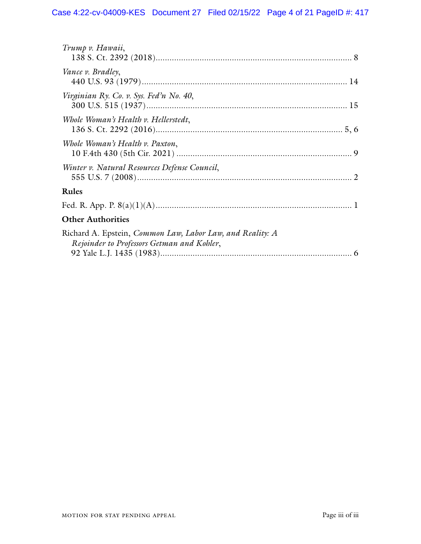| Trump v. Hawaii,                                                                                                               |
|--------------------------------------------------------------------------------------------------------------------------------|
| Vance v. Bradley,                                                                                                              |
| Virginian Ry. Co. v. Sys. Fed'n No. 40,                                                                                        |
| Whole Woman's Health v. Hellerstedt,                                                                                           |
| Whole Woman's Health v. Paxton,                                                                                                |
| Winter v. Natural Resources Defense Council,                                                                                   |
| Rules                                                                                                                          |
|                                                                                                                                |
| <b>Other Authorities</b>                                                                                                       |
| Richard A. Epstein, <i>Common Law</i> , <i>Labor Law</i> , and <i>Reality: A</i><br>Rejoinder to Professors Getman and Kohler, |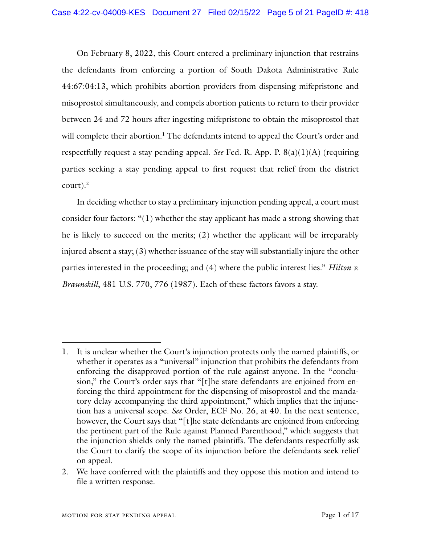On February 8, 2022, this Court entered a preliminary injunction that restrains the defendants from enforcing a portion of South Dakota Administrative Rule 44:67:04:13, which prohibits abortion providers from dispensing mifepristone and misoprostol simultaneously, and compels abortion patients to return to their provider between 24 and 72 hours after ingesting mifepristone to obtain the misoprostol that will complete their abortion.<sup>1</sup> The defendants intend to appeal the Court's order and respectfully request a stay pending appeal. *See* Fed. R. App. P. 8(a)(1)(A) (requiring parties seeking a stay pending appeal to first request that relief from the district court). $^2$ 

In deciding whether to stay a preliminary injunction pending appeal, a court must consider four factors: "(1) whether the stay applicant has made a strong showing that he is likely to succeed on the merits; (2) whether the applicant will be irreparably injured absent a stay; (3) whether issuance of the stay will substantially injure the other parties interested in the proceeding; and (4) where the public interest lies." *Hilton v. Braunskill*, 481 U.S. 770, 776 (1987). Each of these factors favors a stay.

<sup>1.</sup> It is unclear whether the Court's injunction protects only the named plaintiffs, or whether it operates as a "universal" injunction that prohibits the defendants from enforcing the disapproved portion of the rule against anyone. In the "conclusion," the Court's order says that "[t]he state defendants are enjoined from enforcing the third appointment for the dispensing of misoprostol and the mandatory delay accompanying the third appointment," which implies that the injunction has a universal scope. *See* Order, ECF No. 26, at 40. In the next sentence, however, the Court says that "[t]he state defendants are enjoined from enforcing the pertinent part of the Rule against Planned Parenthood," which suggests that the injunction shields only the named plaintiffs. The defendants respectfully ask the Court to clarify the scope of its injunction before the defendants seek relief on appeal.

<sup>2.</sup> We have conferred with the plaintiffs and they oppose this motion and intend to file a written response.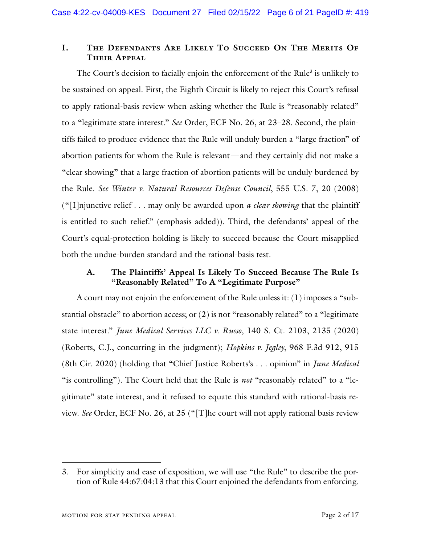## **I. The Defendants Are Likely To Succeed On The Merits Of Their Appeal**

The Court's decision to facially enjoin the enforcement of the Rule<sup>3</sup> is unlikely to be sustained on appeal. First, the Eighth Circuit is likely to reject this Court's refusal to apply rational-basis review when asking whether the Rule is "reasonably related" to a "legitimate state interest." *See* Order, ECF No. 26, at 23–28. Second, the plaintiffs failed to produce evidence that the Rule will unduly burden a "large fraction" of abortion patients for whom the Rule is relevant—and they certainly did not make a "clear showing" that a large fraction of abortion patients will be unduly burdened by the Rule. *See Winter v. Natural Resources Defense Council*, 555 U.S. 7, 20 (2008) ("[I]njunctive relief . . . may only be awarded upon *a clear showing* that the plaintiff is entitled to such relief." (emphasis added)). Third, the defendants' appeal of the Court's equal-protection holding is likely to succeed because the Court misapplied both the undue-burden standard and the rational-basis test.

### **A. The Plaintiffs' Appeal Is Likely To Succeed Because The Rule Is "Reasonably Related" To A "Legitimate Purpose"**

A court may not enjoin the enforcement of the Rule unless it: (1) imposes a "substantial obstacle" to abortion access; or  $(2)$  is not "reasonably related" to a "legitimate state interest." *June Medical Services LLC v. Russo*, 140 S. Ct. 2103, 2135 (2020) (Roberts, C.J., concurring in the judgment); *Hopkins v. Jegley*, 968 F.3d 912, 915 (8th Cir. 2020) (holding that "Chief Justice Roberts's . . . opinion" in *June Medical* "is controlling"). The Court held that the Rule is *not* "reasonably related" to a "legitimate" state interest, and it refused to equate this standard with rational-basis review. *See* Order, ECF No. 26, at 25 ("[T]he court will not apply rational basis review

<sup>3.</sup> For simplicity and ease of exposition, we will use "the Rule" to describe the portion of Rule 44:67:04:13 that this Court enjoined the defendants from enforcing.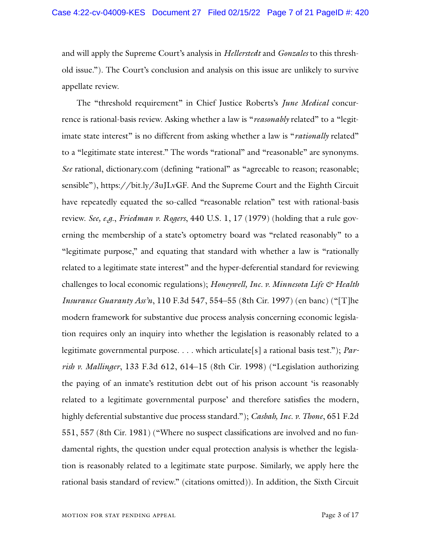and will apply the Supreme Court's analysis in *Hellerstedt* and *Gonzales* to this threshold issue."). The Court's conclusion and analysis on this issue are unlikely to survive appellate review.

The "threshold requirement" in Chief Justice Roberts's *June Medical* concurrence is rational-basis review. Asking whether a law is "*reasonably* related" to a "legitimate state interest" is no different from asking whether a law is "*rationally* related" to a "legitimate state interest." The words "rational" and "reasonable" are synonyms. *See* rational, dictionary.com (defining "rational" as "agreeable to reason; reasonable; sensible"), https://bit.ly/3uJLvGF. And the Supreme Court and the Eighth Circuit have repeatedly equated the so-called "reasonable relation" test with rational-basis review. *See, e.g.*, *Friedman v. Rogers*, 440 U.S. 1, 17 (1979) (holding that a rule governing the membership of a state's optometry board was "related reasonably" to a "legitimate purpose," and equating that standard with whether a law is "rationally related to a legitimate state interest" and the hyper-deferential standard for reviewing challenges to local economic regulations); *Honeywell, Inc. v. Minnesota Life & Health Insurance Guaranty Ass'n*, 110 F.3d 547, 554–55 (8th Cir. 1997) (en banc) ("[T]he modern framework for substantive due process analysis concerning economic legislation requires only an inquiry into whether the legislation is reasonably related to a legitimate governmental purpose. . . . which articulate[s] a rational basis test."); *Parrish v. Mallinger*, 133 F.3d 612, 614–15 (8th Cir. 1998) ("Legislation authorizing the paying of an inmate's restitution debt out of his prison account 'is reasonably related to a legitimate governmental purpose' and therefore satisfies the modern, highly deferential substantive due process standard."); *Casbah, Inc. v. Thone*, 651 F.2d 551, 557 (8th Cir. 1981) ("Where no suspect classifications are involved and no fundamental rights, the question under equal protection analysis is whether the legislation is reasonably related to a legitimate state purpose. Similarly, we apply here the rational basis standard of review." (citations omitted)). In addition, the Sixth Circuit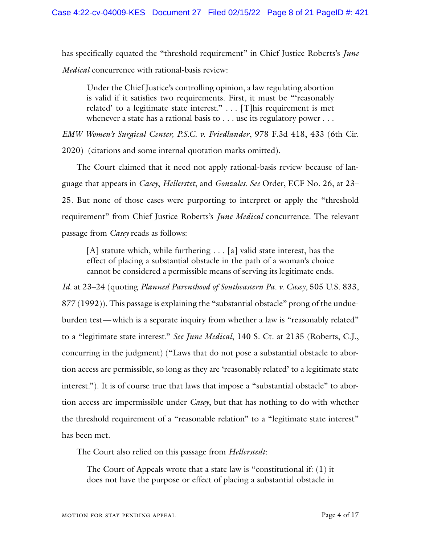has specifically equated the "threshold requirement" in Chief Justice Roberts's *June Medical* concurrence with rational-basis review:

Under the Chief Justice's controlling opinion, a law regulating abortion is valid if it satisfies two requirements. First, it must be "'reasonably related' to a legitimate state interest." . . . [T]his requirement is met whenever a state has a rational basis to . . . use its regulatory power . . . .

*EMW Women's Surgical Center, P.S.C. v. Friedlander*, 978 F.3d 418, 433 (6th Cir. 2020) (citations and some internal quotation marks omitted).

The Court claimed that it need not apply rational-basis review because of language that appears in *Casey*, *Hellerstet*, and *Gonzales*. *See* Order, ECF No. 26, at 23– 25. But none of those cases were purporting to interpret or apply the "threshold requirement" from Chief Justice Roberts's *June Medical* concurrence. The relevant passage from *Casey* reads as follows:

[A] statute which, while furthering . . . [a] valid state interest, has the effect of placing a substantial obstacle in the path of a woman's choice cannot be considered a permissible means of serving its legitimate ends.

*Id.* at 23–24 (quoting *Planned Parenthood of Southeastern Pa. v. Casey*, 505 U.S. 833, 877 (1992)). This passage is explaining the "substantial obstacle" prong of the undueburden test—which is a separate inquiry from whether a law is "reasonably related" to a "legitimate state interest." *See June Medical*, 140 S. Ct. at 2135 (Roberts, C.J., concurring in the judgment) ("Laws that do not pose a substantial obstacle to abortion access are permissible, so long as they are 'reasonably related' to a legitimate state interest."). It is of course true that laws that impose a "substantial obstacle" to abortion access are impermissible under *Casey*, but that has nothing to do with whether the threshold requirement of a "reasonable relation" to a "legitimate state interest" has been met.

The Court also relied on this passage from *Hellerstedt*:

The Court of Appeals wrote that a state law is "constitutional if: (1) it does not have the purpose or effect of placing a substantial obstacle in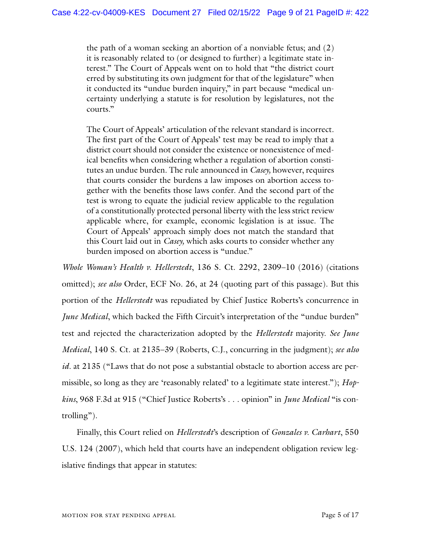the path of a woman seeking an abortion of a nonviable fetus; and (2) it is reasonably related to (or designed to further) a legitimate state interest." The Court of Appeals went on to hold that "the district court erred by substituting its own judgment for that of the legislature" when it conducted its "undue burden inquiry," in part because "medical uncertainty underlying a statute is for resolution by legislatures, not the courts."

The Court of Appeals' articulation of the relevant standard is incorrect. The first part of the Court of Appeals' test may be read to imply that a district court should not consider the existence or nonexistence of medical benefits when considering whether a regulation of abortion constitutes an undue burden. The rule announced in *Casey,* however, requires that courts consider the burdens a law imposes on abortion access together with the benefits those laws confer. And the second part of the test is wrong to equate the judicial review applicable to the regulation of a constitutionally protected personal liberty with the less strict review applicable where, for example, economic legislation is at issue. The Court of Appeals' approach simply does not match the standard that this Court laid out in *Casey,* which asks courts to consider whether any burden imposed on abortion access is "undue."

*Whole Woman's Health v. Hellerstedt*, 136 S. Ct. 2292, 2309–10 (2016) (citations omitted); *see also* Order, ECF No. 26, at 24 (quoting part of this passage). But this portion of the *Hellerstedt* was repudiated by Chief Justice Roberts's concurrence in *June Medical*, which backed the Fifth Circuit's interpretation of the "undue burden" test and rejected the characterization adopted by the *Hellerstedt* majority. *See June Medical*, 140 S. Ct. at 2135–39 (Roberts, C.J., concurring in the judgment); *see also id.* at 2135 ("Laws that do not pose a substantial obstacle to abortion access are permissible, so long as they are 'reasonably related' to a legitimate state interest."); *Hopkins*, 968 F.3d at 915 ("Chief Justice Roberts's . . . opinion" in *June Medical* "is controlling").

Finally, this Court relied on *Hellerstedt*'s description of *Gonzales v. Carhart*, 550 U.S. 124 (2007), which held that courts have an independent obligation review legislative findings that appear in statutes: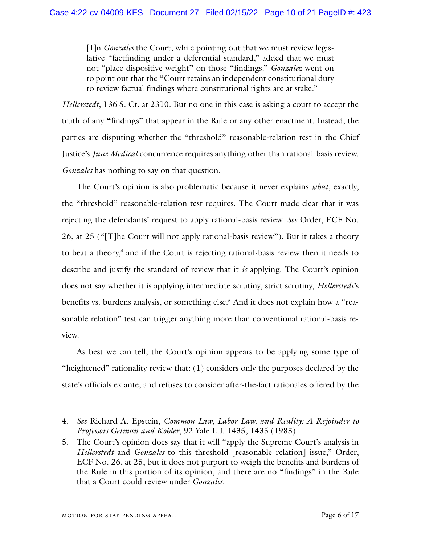[I]n *Gonzales* the Court, while pointing out that we must review legislative "factfinding under a deferential standard," added that we must not "place dispositive weight" on those "findings." *Gonzalez* went on to point out that the "Court retains an independent constitutional duty to review factual findings where constitutional rights are at stake."

*Hellerstedt*, 136 S. Ct. at 2310. But no one in this case is asking a court to accept the truth of any "findings" that appear in the Rule or any other enactment. Instead, the parties are disputing whether the "threshold" reasonable-relation test in the Chief Justice's *June Medical* concurrence requires anything other than rational-basis review. *Gonzales* has nothing to say on that question.

The Court's opinion is also problematic because it never explains *what*, exactly, the "threshold" reasonable-relation test requires. The Court made clear that it was rejecting the defendants' request to apply rational-basis review. *See* Order, ECF No. 26, at 25 ("[T]he Court will not apply rational-basis review"). But it takes a theory to beat a theory, $4$  and if the Court is rejecting rational-basis review then it needs to describe and justify the standard of review that it *is* applying. The Court's opinion does not say whether it is applying intermediate scrutiny, strict scrutiny, *Hellerstedt*'s benefits vs. burdens analysis, or something else. <sup>5</sup> And it does not explain how a "reasonable relation" test can trigger anything more than conventional rational-basis review.

As best we can tell, the Court's opinion appears to be applying some type of "heightened" rationality review that:  $(1)$  considers only the purposes declared by the state's officials ex ante, and refuses to consider after-the-fact rationales offered by the

<sup>4.</sup> *See* Richard A. Epstein, *Common Law, Labor Law, and Reality: A Rejoinder to Professors Getman and Kohler*, 92 Yale L.J. 1435, 1435 (1983).

<sup>5.</sup> The Court's opinion does say that it will "apply the Supreme Court's analysis in *Hellerstedt* and *Gonzales* to this threshold [reasonable relation] issue," Order, ECF No. 26, at 25, but it does not purport to weigh the benefits and burdens of the Rule in this portion of its opinion, and there are no "findings" in the Rule that a Court could review under *Gonzales*.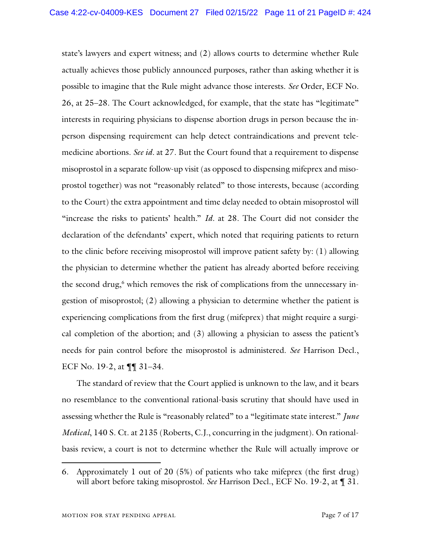state's lawyers and expert witness; and (2) allows courts to determine whether Rule actually achieves those publicly announced purposes, rather than asking whether it is possible to imagine that the Rule might advance those interests. *See* Order, ECF No. 26, at 25–28. The Court acknowledged, for example, that the state has "legitimate" interests in requiring physicians to dispense abortion drugs in person because the inperson dispensing requirement can help detect contraindications and prevent telemedicine abortions. *See id.* at 27. But the Court found that a requirement to dispense misoprostol in a separate follow-up visit (as opposed to dispensing mifeprex and misoprostol together) was not "reasonably related" to those interests, because (according to the Court) the extra appointment and time delay needed to obtain misoprostol will "increase the risks to patients' health." *Id.* at 28. The Court did not consider the declaration of the defendants' expert, which noted that requiring patients to return to the clinic before receiving misoprostol will improve patient safety by: (1) allowing the physician to determine whether the patient has already aborted before receiving the second drug, <sup>6</sup> which removes the risk of complications from the unnecessary ingestion of misoprostol; (2) allowing a physician to determine whether the patient is experiencing complications from the first drug (mifeprex) that might require a surgical completion of the abortion; and (3) allowing a physician to assess the patient's needs for pain control before the misoprostol is administered. *See* Harrison Decl., ECF No. 19-2, at ¶¶ 31–34.

The standard of review that the Court applied is unknown to the law, and it bears no resemblance to the conventional rational-basis scrutiny that should have used in assessing whether the Rule is "reasonably related" to a "legitimate state interest." *June Medical*, 140 S. Ct. at 2135 (Roberts, C.J., concurring in the judgment). On rationalbasis review, a court is not to determine whether the Rule will actually improve or

<sup>6.</sup> Approximately 1 out of 20 (5%) of patients who take mifeprex (the first drug) will abort before taking misoprostol. *See* Harrison Decl., ECF No. 19-2, at ¶ 31.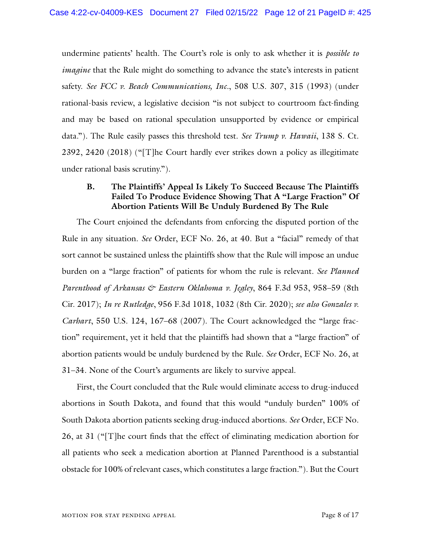undermine patients' health. The Court's role is only to ask whether it is *possible to imagine* that the Rule might do something to advance the state's interests in patient safety. *See FCC v. Beach Communications, Inc.*, 508 U.S. 307, 315 (1993) (under rational-basis review, a legislative decision "is not subject to courtroom fact-finding and may be based on rational speculation unsupported by evidence or empirical data."). The Rule easily passes this threshold test. *See Trump v. Hawaii*, 138 S. Ct. 2392, 2420 (2018) ("[T]he Court hardly ever strikes down a policy as illegitimate under rational basis scrutiny.").

### **B. The Plaintiffs' Appeal Is Likely To Succeed Because The Plaintiffs Failed To Produce Evidence Showing That A "Large Fraction" Of Abortion Patients Will Be Unduly Burdened By The Rule**

The Court enjoined the defendants from enforcing the disputed portion of the Rule in any situation. *See* Order, ECF No. 26, at 40. But a "facial" remedy of that sort cannot be sustained unless the plaintiffs show that the Rule will impose an undue burden on a "large fraction" of patients for whom the rule is relevant. *See Planned Parenthood of Arkansas & Eastern Oklahoma v. Jegley*, 864 F.3d 953, 958–59 (8th Cir. 2017); *In re Rutledge*, 956 F.3d 1018, 1032 (8th Cir. 2020); *see also Gonzales v. Carhart*, 550 U.S. 124, 167–68 (2007). The Court acknowledged the "large fraction" requirement, yet it held that the plaintiffs had shown that a "large fraction" of abortion patients would be unduly burdened by the Rule. *See* Order, ECF No. 26, at 31–34. None of the Court's arguments are likely to survive appeal.

First, the Court concluded that the Rule would eliminate access to drug-induced abortions in South Dakota, and found that this would "unduly burden" 100% of South Dakota abortion patients seeking drug-induced abortions. *See* Order, ECF No. 26, at 31 ("[T]he court finds that the effect of eliminating medication abortion for all patients who seek a medication abortion at Planned Parenthood is a substantial obstacle for 100% of relevant cases, which constitutes a large fraction."). But the Court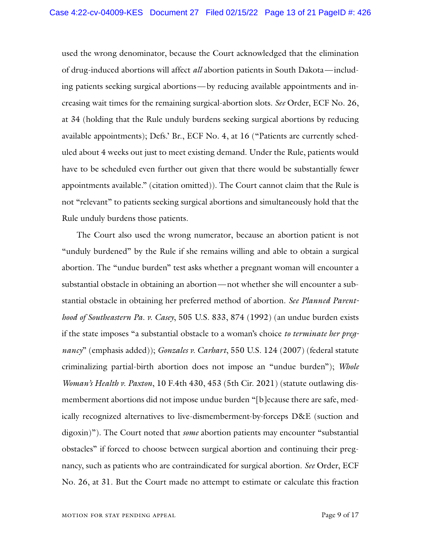used the wrong denominator, because the Court acknowledged that the elimination of drug-induced abortions will affect *all* abortion patients in South Dakota—including patients seeking surgical abortions—by reducing available appointments and increasing wait times for the remaining surgical-abortion slots. *See* Order, ECF No. 26, at 34 (holding that the Rule unduly burdens seeking surgical abortions by reducing available appointments); Defs.' Br., ECF No. 4, at 16 ("Patients are currently scheduled about 4 weeks out just to meet existing demand. Under the Rule, patients would have to be scheduled even further out given that there would be substantially fewer appointments available." (citation omitted)). The Court cannot claim that the Rule is not "relevant" to patients seeking surgical abortions and simultaneously hold that the Rule unduly burdens those patients.

The Court also used the wrong numerator, because an abortion patient is not "unduly burdened" by the Rule if she remains willing and able to obtain a surgical abortion. The "undue burden" test asks whether a pregnant woman will encounter a substantial obstacle in obtaining an abortion—not whether she will encounter a substantial obstacle in obtaining her preferred method of abortion. *See Planned Parenthood of Southeastern Pa. v. Casey*, 505 U.S. 833, 874 (1992) (an undue burden exists if the state imposes "a substantial obstacle to a woman's choice *to terminate her pregnancy*" (emphasis added)); *Gonzales v. Carhart*, 550 U.S. 124 (2007) (federal statute criminalizing partial-birth abortion does not impose an "undue burden"); *Whole Woman's Health v. Paxton*, 10 F.4th 430, 453 (5th Cir. 2021) (statute outlawing dismemberment abortions did not impose undue burden "[b]ecause there are safe, medically recognized alternatives to live-dismemberment-by-forceps D&E (suction and digoxin)"). The Court noted that *some* abortion patients may encounter "substantial obstacles" if forced to choose between surgical abortion and continuing their pregnancy, such as patients who are contraindicated for surgical abortion. *See* Order, ECF No. 26, at 31. But the Court made no attempt to estimate or calculate this fraction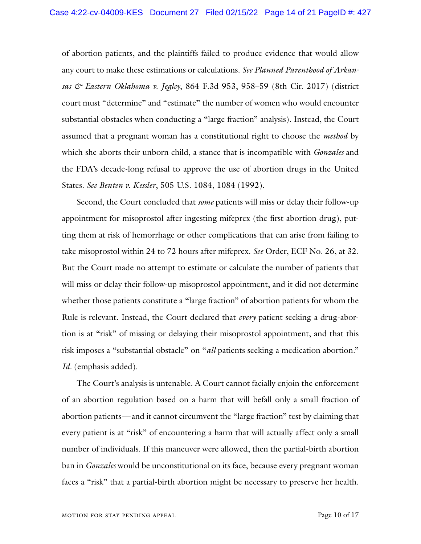of abortion patients, and the plaintiffs failed to produce evidence that would allow any court to make these estimations or calculations. *See Planned Parenthood of Arkansas & Eastern Oklahoma v. Jegley*, 864 F.3d 953, 958–59 (8th Cir. 2017) (district court must "determine" and "estimate" the number of women who would encounter substantial obstacles when conducting a "large fraction" analysis). Instead, the Court assumed that a pregnant woman has a constitutional right to choose the *method* by which she aborts their unborn child, a stance that is incompatible with *Gonzales* and the FDA's decade-long refusal to approve the use of abortion drugs in the United States. *See Benten v. Kessler*, 505 U.S. 1084, 1084 (1992).

Second, the Court concluded that *some* patients will miss or delay their follow-up appointment for misoprostol after ingesting mifeprex (the first abortion drug), putting them at risk of hemorrhage or other complications that can arise from failing to take misoprostol within 24 to 72 hours after mifeprex. *See* Order, ECF No. 26, at 32. But the Court made no attempt to estimate or calculate the number of patients that will miss or delay their follow-up misoprostol appointment, and it did not determine whether those patients constitute a "large fraction" of abortion patients for whom the Rule is relevant. Instead, the Court declared that *every* patient seeking a drug-abortion is at "risk" of missing or delaying their misoprostol appointment, and that this risk imposes a "substantial obstacle" on "*all* patients seeking a medication abortion." *Id.* (emphasis added).

The Court's analysis is untenable. A Court cannot facially enjoin the enforcement of an abortion regulation based on a harm that will befall only a small fraction of abortion patients—and it cannot circumvent the "large fraction" test by claiming that every patient is at "risk" of encountering a harm that will actually affect only a small number of individuals. If this maneuver were allowed, then the partial-birth abortion ban in *Gonzales* would be unconstitutional on its face, because every pregnant woman faces a "risk" that a partial-birth abortion might be necessary to preserve her health.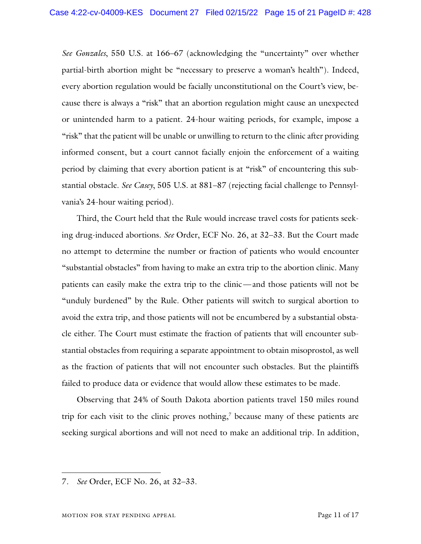*See Gonzales*, 550 U.S. at 166–67 (acknowledging the "uncertainty" over whether partial-birth abortion might be "necessary to preserve a woman's health"). Indeed, every abortion regulation would be facially unconstitutional on the Court's view, because there is always a "risk" that an abortion regulation might cause an unexpected or unintended harm to a patient. 24-hour waiting periods, for example, impose a "risk" that the patient will be unable or unwilling to return to the clinic after providing informed consent, but a court cannot facially enjoin the enforcement of a waiting period by claiming that every abortion patient is at "risk" of encountering this substantial obstacle. *See Casey*, 505 U.S. at 881–87 (rejecting facial challenge to Pennsylvania's 24-hour waiting period).

Third, the Court held that the Rule would increase travel costs for patients seeking drug-induced abortions. *See* Order, ECF No. 26, at 32–33. But the Court made no attempt to determine the number or fraction of patients who would encounter "substantial obstacles" from having to make an extra trip to the abortion clinic. Many patients can easily make the extra trip to the clinic—and those patients will not be "unduly burdened" by the Rule. Other patients will switch to surgical abortion to avoid the extra trip, and those patients will not be encumbered by a substantial obstacle either. The Court must estimate the fraction of patients that will encounter substantial obstacles from requiring a separate appointment to obtain misoprostol, as well as the fraction of patients that will not encounter such obstacles. But the plaintiffs failed to produce data or evidence that would allow these estimates to be made.

Observing that 24% of South Dakota abortion patients travel 150 miles round trip for each visit to the clinic proves nothing, <sup>7</sup> because many of these patients are seeking surgical abortions and will not need to make an additional trip. In addition,

<sup>7.</sup> *See* Order, ECF No. 26, at 32–33.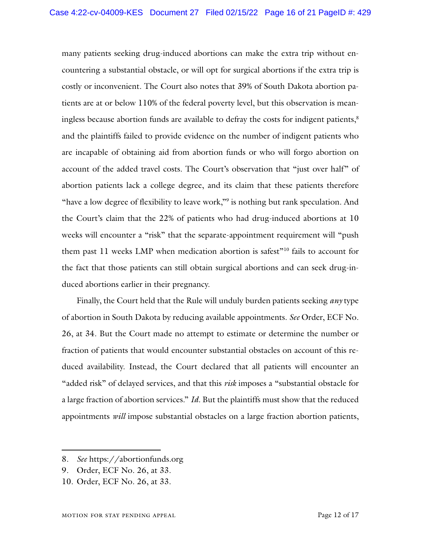many patients seeking drug-induced abortions can make the extra trip without encountering a substantial obstacle, or will opt for surgical abortions if the extra trip is costly or inconvenient. The Court also notes that 39% of South Dakota abortion patients are at or below 110% of the federal poverty level, but this observation is meaningless because abortion funds are available to defray the costs for indigent patients, 8 and the plaintiffs failed to provide evidence on the number of indigent patients who are incapable of obtaining aid from abortion funds or who will forgo abortion on account of the added travel costs. The Court's observation that "just over half" of abortion patients lack a college degree, and its claim that these patients therefore "have a low degree of flexibility to leave work,"<sup>9</sup> is nothing but rank speculation. And the Court's claim that the 22% of patients who had drug-induced abortions at 10 weeks will encounter a "risk" that the separate-appointment requirement will "push" them past 11 weeks LMP when medication abortion is safest"10 fails to account for the fact that those patients can still obtain surgical abortions and can seek drug-induced abortions earlier in their pregnancy.

Finally, the Court held that the Rule will unduly burden patients seeking *any* type of abortion in South Dakota by reducing available appointments. *See* Order, ECF No. 26, at 34. But the Court made no attempt to estimate or determine the number or fraction of patients that would encounter substantial obstacles on account of this reduced availability. Instead, the Court declared that all patients will encounter an "added risk" of delayed services, and that this *risk* imposes a "substantial obstacle for a large fraction of abortion services." *Id.* But the plaintiffs must show that the reduced appointments *will* impose substantial obstacles on a large fraction abortion patients,

<sup>8.</sup> *See* https://abortionfunds.org

<sup>9.</sup> Order, ECF No. 26, at 33.

<sup>10.</sup> Order, ECF No. 26, at 33.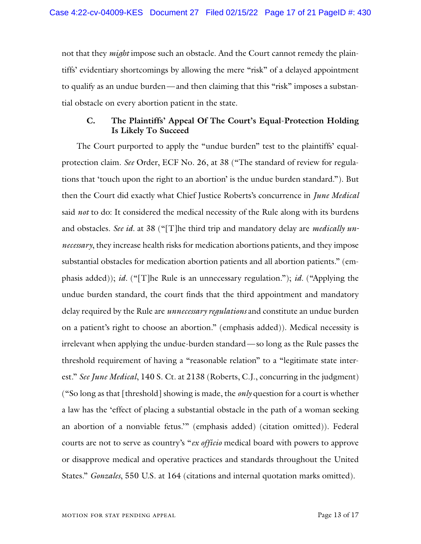not that they *might* impose such an obstacle. And the Court cannot remedy the plaintiffs' evidentiary shortcomings by allowing the mere "risk" of a delayed appointment to qualify as an undue burden—and then claiming that this "risk" imposes a substantial obstacle on every abortion patient in the state.

### **C. The Plaintiffs' Appeal Of The Court's Equal-Protection Holding Is Likely To Succeed**

The Court purported to apply the "undue burden" test to the plaintiffs' equalprotection claim. *See* Order, ECF No. 26, at 38 ("The standard of review for regulations that 'touch upon the right to an abortion' is the undue burden standard."). But then the Court did exactly what Chief Justice Roberts's concurrence in *June Medical* said *not* to do: It considered the medical necessity of the Rule along with its burdens and obstacles. *See id.* at 38 ("[T]he third trip and mandatory delay are *medically unnecessary*, they increase health risks for medication abortions patients, and they impose substantial obstacles for medication abortion patients and all abortion patients." (emphasis added)); *id.* ("[T]he Rule is an unnecessary regulation."); *id.* ("Applying the undue burden standard, the court finds that the third appointment and mandatory delay required by the Rule are *unnecessary regulations* and constitute an undue burden on a patient's right to choose an abortion." (emphasis added)). Medical necessity is irrelevant when applying the undue-burden standard—so long as the Rule passes the threshold requirement of having a "reasonable relation" to a "legitimate state interest." *See June Medical*, 140 S. Ct. at 2138 (Roberts, C.J., concurring in the judgment) ("So long as that [threshold] showing is made, the *only* question for a court is whether a law has the 'effect of placing a substantial obstacle in the path of a woman seeking an abortion of a nonviable fetus.'" (emphasis added) (citation omitted)). Federal courts are not to serve as country's "*ex officio* medical board with powers to approve or disapprove medical and operative practices and standards throughout the United States." *Gonzales*, 550 U.S. at 164 (citations and internal quotation marks omitted).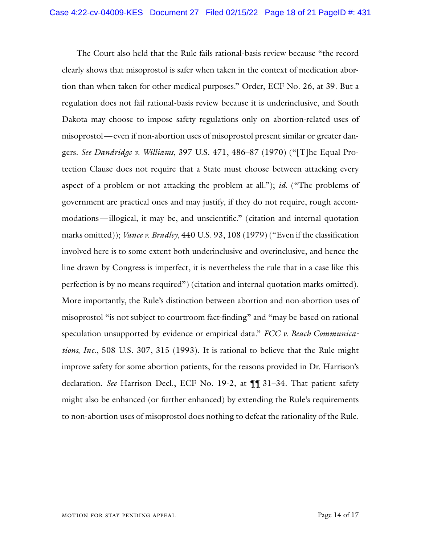The Court also held that the Rule fails rational-basis review because "the record clearly shows that misoprostol is safer when taken in the context of medication abortion than when taken for other medical purposes." Order, ECF No. 26, at 39. But a regulation does not fail rational-basis review because it is underinclusive, and South Dakota may choose to impose safety regulations only on abortion-related uses of misoprostol—even if non-abortion uses of misoprostol present similar or greater dangers. *See Dandridge v. Williams*, 397 U.S. 471, 486–87 (1970) ("[T]he Equal Protection Clause does not require that a State must choose between attacking every aspect of a problem or not attacking the problem at all."); *id.* ("The problems of government are practical ones and may justify, if they do not require, rough accommodations—illogical, it may be, and unscientific." (citation and internal quotation marks omitted)); *Vance v. Bradley*, 440 U.S. 93, 108 (1979) ("Even if the classification involved here is to some extent both underinclusive and overinclusive, and hence the line drawn by Congress is imperfect, it is nevertheless the rule that in a case like this perfection is by no means required") (citation and internal quotation marks omitted). More importantly, the Rule's distinction between abortion and non-abortion uses of misoprostol "is not subject to courtroom fact-finding" and "may be based on rational speculation unsupported by evidence or empirical data." *FCC v. Beach Communications, Inc.*, 508 U.S. 307, 315 (1993). It is rational to believe that the Rule might improve safety for some abortion patients, for the reasons provided in Dr. Harrison's declaration. *See* Harrison Decl., ECF No. 19-2, at ¶¶ 31–34. That patient safety might also be enhanced (or further enhanced) by extending the Rule's requirements to non-abortion uses of misoprostol does nothing to defeat the rationality of the Rule.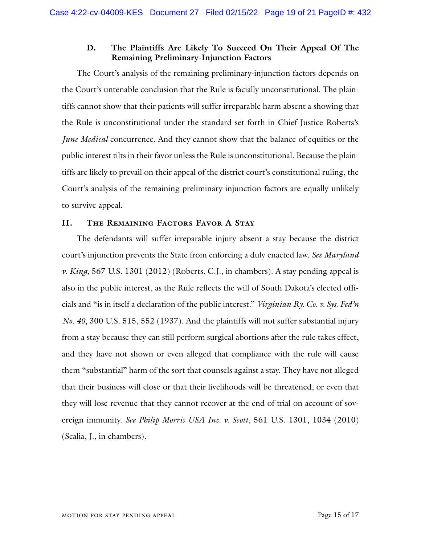## **D. The Plaintiffs Are Likely To Succeed On Their Appeal Of The Remaining Preliminary-Injunction Factors**

The Court's analysis of the remaining preliminary-injunction factors depends on the Court's untenable conclusion that the Rule is facially unconstitutional. The plaintiffs cannot show that their patients will suffer irreparable harm absent a showing that the Rule is unconstitutional under the standard set forth in Chief Justice Roberts's *June Medical* concurrence. And they cannot show that the balance of equities or the public interest tilts in their favor unless the Rule is unconstitutional. Because the plaintiffs are likely to prevail on their appeal of the district court's constitutional ruling, the Court's analysis of the remaining preliminary-injunction factors are equally unlikely to survive appeal.

#### **II. The Remaining Factors Favor A Stay**

The defendants will suffer irreparable injury absent a stay because the district court's injunction prevents the State from enforcing a duly enacted law. *See Maryland v. King*, 567 U.S. 1301 (2012) (Roberts, C.J., in chambers). A stay pending appeal is also in the public interest, as the Rule reflects the will of South Dakota's elected officials and "is in itself a declaration of the public interest." *Virginian Ry. Co. v. Sys. Fed'n No. 40*, 300 U.S. 515, 552 (1937). And the plaintiffs will not suffer substantial injury from a stay because they can still perform surgical abortions after the rule takes effect, and they have not shown or even alleged that compliance with the rule will cause them "substantial" harm of the sort that counsels against a stay. They have not alleged that their business will close or that their livelihoods will be threatened, or even that they will lose revenue that they cannot recover at the end of trial on account of sovereign immunity. *See Philip Morris USA Inc. v. Scott*, 561 U.S. 1301, 1034 (2010) (Scalia, J., in chambers).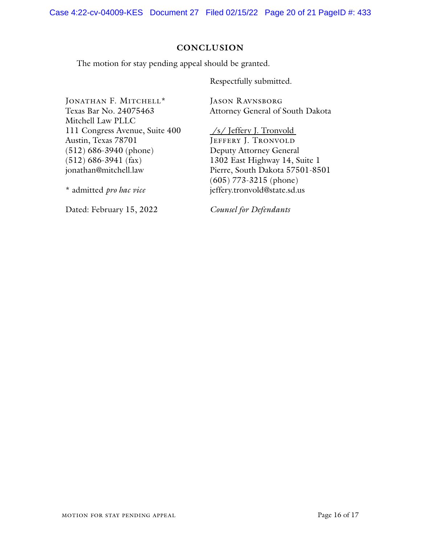#### **CONCLUSION**

The motion for stay pending appeal should be granted.

Respectfully submitted.

JONATHAN F. MITCHELL\* Texas Bar No. 24075463 Mitchell Law PLLC 111 Congress Avenue, Suite 400 Austin, Texas 78701 (512) 686-3940 (phone) (512) 686-3941 (fax) jonathan@mitchell.law

\* admitted *pro hac vice*

Dated: February 15, 2022

JASON RAVNSBORG Attorney General of South Dakota

/s/ Jeffery J. Tronvold JEFFERY J. TRONVOLD Deputy Attorney General 1302 East Highway 14, Suite 1 Pierre, South Dakota 57501-8501 (605) 773-3215 (phone) jeffery.tronvold@state.sd.us

*Counsel for Defendants*